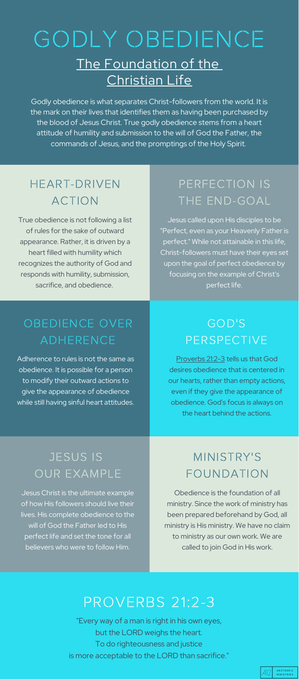Godly obedience is what separates Christ-followers from the world. It is the mark on their lives that identifies them as having been purchased by the blood of Jesus Christ. True godly obedience stems from a heart attitude of humility and submission to the will of God the Father, the commands of Jesus, and the promptings of the Holy Spirit.

# OBEDIENCE OVER ADHERENCE

Adherence to rules is not the same as obedience. It is possible for a person to modify their outward actions to give the appearance of obedience while still having sinful heart attitudes.

True obedience is not following a list of rules for the sake of outward appearance. Rather, it is driven by a heart filled with humility which recognizes the authority of God and responds with humility, submission, sacrifice, and obedience.

# HEART-DRIVEN ACTION

[Proverbs](https://www.biblegateway.com/passage/?search=Proverbs+21%3A2-3&version=ESV) 21:2-3 tells us that God desires obedience that is centered in our hearts, rather than empty actions, even if they give the appearance of obedience. God's focus is always on

the heart behind the actions.

# GOD'S PERSPECTIVE

# JESUS IS OUR EXAMPLE

Jesus Christ is the ultimate example of how His followers should live their lives. His complete obedience to the will of God the Father led to His perfect life and set the tone for all believers who were to follow Him.

# PROVERBS 21:2-3

"Every way of a man is right in his own eyes, but the LORD weighs the heart. To do righteousness and justice is more acceptable to the LORD than sacrifice."



# GODLY OBEDIENCE The Foundation of the Christian Life

Jesus called upon His disciples to be "Perfect, even as your Heavenly Father is perfect." While not attainable in this life, Christ-followers must have their eyes set upon the goal of perfect obedience by focusing on the example of Christ's perfect life.

### PERFECTION IS THE END-GOAL

Obedience is the foundation of all ministry. Since the work of ministry has been prepared beforehand by God, all ministry is His ministry. We have no claim to ministry as our own work. We are called to join God in His work.

# MINISTRY'S FOUNDATION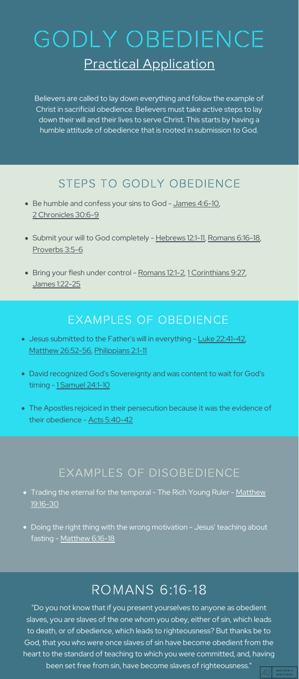#### EXAMPLES OF OBEDIENCE

- Jesus submitted to the Father's will in everything Luke [22:41-42](https://www.biblegateway.com/passage/?search=luke+22%3A41-42&version=ESV), Matthew [26:52-56,](https://www.biblegateway.com/passage/?search=Matthew+26%3A52-56&version=ESV) [Philippians](https://www.biblegateway.com/passage/?search=Philippians+2%3A1-11&version=ESV) 2:1-11
- David recognized God's Sovereignty and was content to wait for God's timing - 1 [Samuel](https://www.biblegateway.com/passage/?search=1+Samuel+24%3A1-10&version=ESV) 24:1-10
- 
- The Apostles rejoiced in their persecution because it was the evidence of their obedience - Acts [5:40-42](https://www.biblegateway.com/passage/?search=Acts+5%3A40-42&version=ESV)

# ROMANS 6:16-18

"Do you not know that if you present yourselves to anyone as obedient slaves, you are slaves of the one whom you obey, either of sin, which leads to death, or of obedience, which leads to righteousness? But thanks be to God, that you who were once slaves of sin have become obedient from the heart to the standard of teaching to which you were committed, and, having been set free from sin, have become slaves of righteousness."



- Be humble and confess your sins to God [James](https://www.biblegateway.com/passage/?search=James+4%3A6-10&version=ESV) 4:6-10, 2 [Chronicles](https://www.biblegateway.com/passage/?search=2+Chronicles+30%3A6-9&version=ESV) 30:6-9
- Submit your will to God completely [Hebrews](https://www.biblegateway.com/passage/?search=Hebrews+12%3A1-11&version=ESV) 12:1-11, [Romans](https://www.biblegateway.com/passage/?search=Romans+6%3A16-18&version=ESV) 6:16-18, [Proverbs](https://www.biblegateway.com/passage/?search=Proverbs+3%3A5-6&version=ESV) 3:5-6
- Bring your flesh under control [Romans](https://www.biblegateway.com/passage/?search=Romans+12%3A1-2&version=ESV) 12:1-2, 1 [Corinthians](https://www.biblegateway.com/passage/?search=1+Corinthians+9%3A27&version=ESV) 9:27, James [1:22-25](https://www.biblegateway.com/passage/?search=James+1%3A22-25&version=ESV)

Believers are called to lay down everything and follow the example of Christ in sacrificial obedience. Believers must take active steps to lay down their will and their lives to serve Christ. This starts by having a humble attitude of obedience that is rooted in submission to God.

#### STEPS TO GODLY OBEDIENCE

#### EXAMPLES OF DISOBEDIENCE

- **•** Trading the eternal for the [temporal](https://www.biblegateway.com/passage/?search=Matthew+19%3A16-30&version=ESV) The Rich Young Ruler Matthew 19:16-30
- Doing the right thing with the wrong motivation Jesus' teaching about fasting - [Matthew](https://www.biblegateway.com/passage/?search=Matthew+6%3A16-18&version=ESV) 6:16-18

# GODLY OBEDIENCE Practical Application